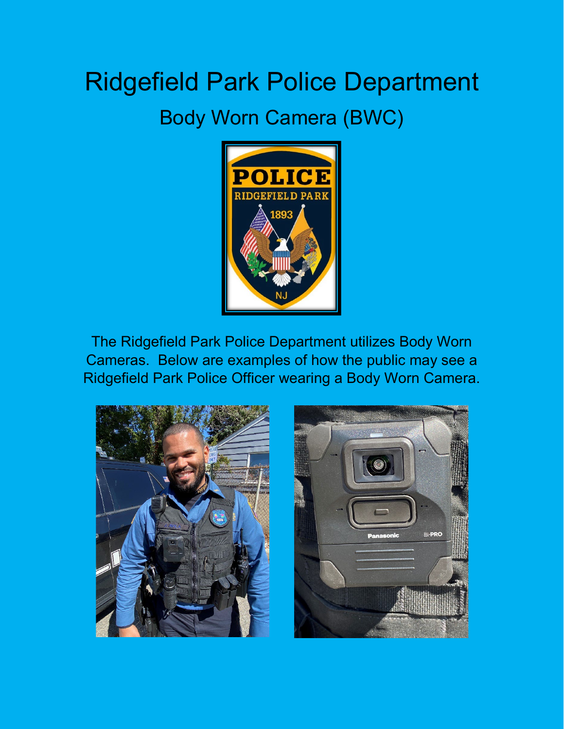## Ridgefield Park Police Department Body Worn Camera (BWC)



The Ridgefield Park Police Department utilizes Body Worn Cameras. Below are examples of how the public may see a Ridgefield Park Police Officer wearing a Body Worn Camera.



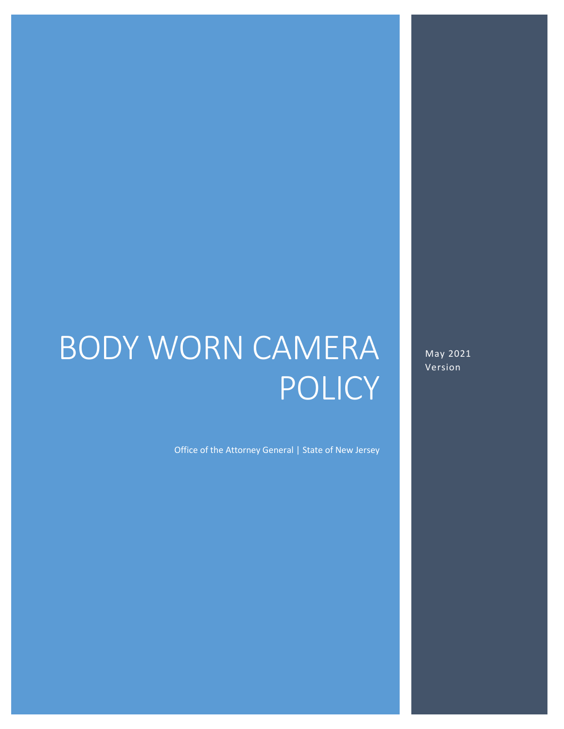# BODY WORN CAMERA POLICY

Office of the Attorney General | State of New Jersey

May 2021 Version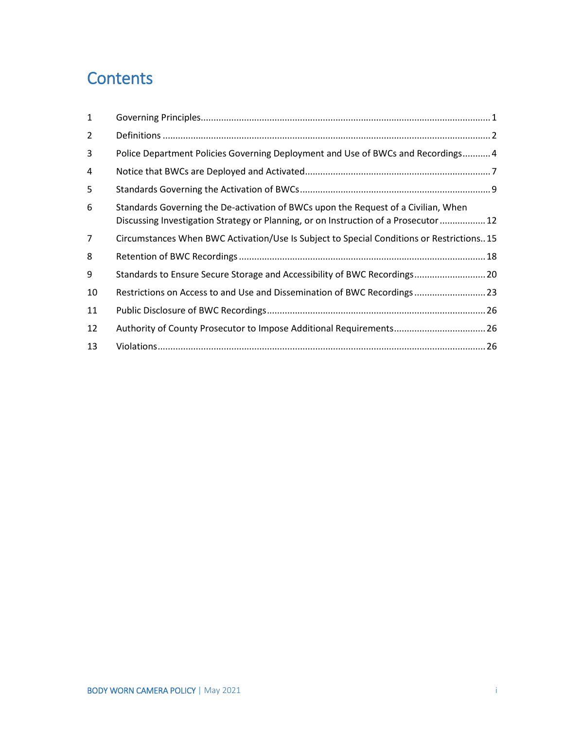### **Contents**

| 1              |                                                                                                                                                                            |  |
|----------------|----------------------------------------------------------------------------------------------------------------------------------------------------------------------------|--|
| $\overline{2}$ |                                                                                                                                                                            |  |
| 3              | Police Department Policies Governing Deployment and Use of BWCs and Recordings 4                                                                                           |  |
| 4              |                                                                                                                                                                            |  |
| 5              |                                                                                                                                                                            |  |
| 6              | Standards Governing the De-activation of BWCs upon the Request of a Civilian, When<br>Discussing Investigation Strategy or Planning, or on Instruction of a Prosecutor  12 |  |
| 7              | Circumstances When BWC Activation/Use Is Subject to Special Conditions or Restrictions15                                                                                   |  |
| 8              |                                                                                                                                                                            |  |
| 9              | Standards to Ensure Secure Storage and Accessibility of BWC Recordings 20                                                                                                  |  |
| 10             | Restrictions on Access to and Use and Dissemination of BWC Recordings23                                                                                                    |  |
| 11             |                                                                                                                                                                            |  |
| 12             | Authority of County Prosecutor to Impose Additional Requirements 26                                                                                                        |  |
| 13             |                                                                                                                                                                            |  |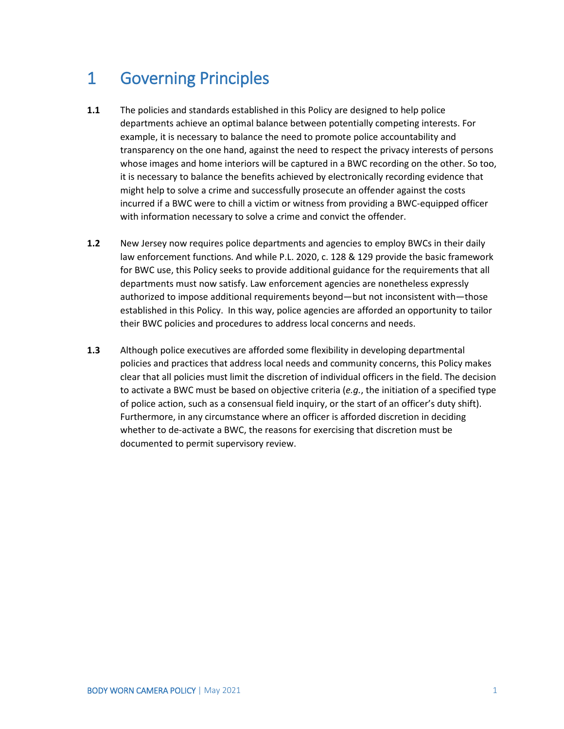### <span id="page-3-0"></span>1 Governing Principles

- **1.1** The policies and standards established in this Policy are designed to help police departments achieve an optimal balance between potentially competing interests. For example, it is necessary to balance the need to promote police accountability and transparency on the one hand, against the need to respect the privacy interests of persons whose images and home interiors will be captured in a BWC recording on the other. So too, it is necessary to balance the benefits achieved by electronically recording evidence that might help to solve a crime and successfully prosecute an offender against the costs incurred if a BWC were to chill a victim or witness from providing a BWC-equipped officer with information necessary to solve a crime and convict the offender.
- **1.2** New Jersey now requires police departments and agencies to employ BWCs in their daily law enforcement functions. And while P.L. 2020, c. 128 & 129 provide the basic framework for BWC use, this Policy seeks to provide additional guidance for the requirements that all departments must now satisfy. Law enforcement agencies are nonetheless expressly authorized to impose additional requirements beyond—but not inconsistent with—those established in this Policy. In this way, police agencies are afforded an opportunity to tailor their BWC policies and procedures to address local concerns and needs.
- **1.3** Although police executives are afforded some flexibility in developing departmental policies and practices that address local needs and community concerns, this Policy makes clear that all policies must limit the discretion of individual officers in the field. The decision to activate a BWC must be based on objective criteria (*e.g.*, the initiation of a specified type of police action, such as a consensual field inquiry, or the start of an officer's duty shift). Furthermore, in any circumstance where an officer is afforded discretion in deciding whether to de-activate a BWC, the reasons for exercising that discretion must be documented to permit supervisory review.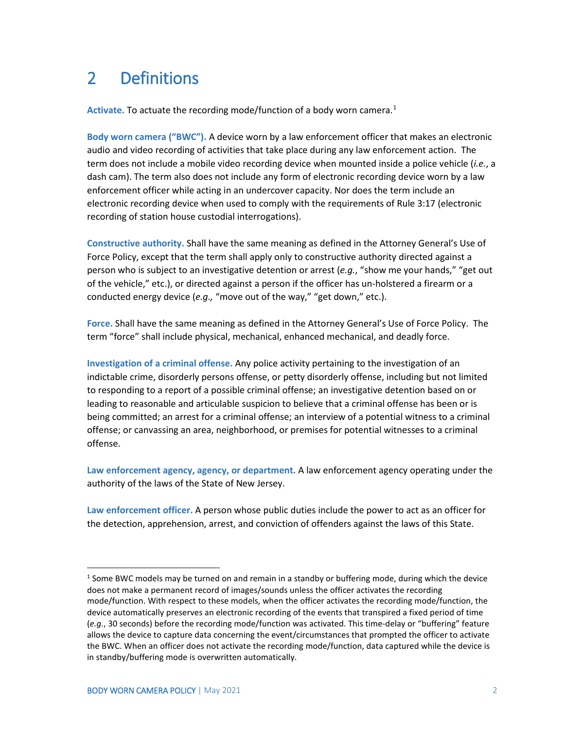### <span id="page-4-0"></span>2 Definitions

Activate. To actuate the recording mode/function of a body worn camera.<sup>[1](#page-4-1)</sup>

**Body worn camera ("BWC").** A device worn by a law enforcement officer that makes an electronic audio and video recording of activities that take place during any law enforcement action. The term does not include a mobile video recording device when mounted inside a police vehicle (*i.e.*, a dash cam). The term also does not include any form of electronic recording device worn by a law enforcement officer while acting in an undercover capacity. Nor does the term include an electronic recording device when used to comply with the requirements of Rule 3:17 (electronic recording of station house custodial interrogations).

**Constructive authority.** Shall have the same meaning as defined in the Attorney General's Use of Force Policy, except that the term shall apply only to constructive authority directed against a person who is subject to an investigative detention or arrest (*e.g.*, "show me your hands," "get out of the vehicle," etc.), or directed against a person if the officer has un-holstered a firearm or a conducted energy device (*e.g.,* "move out of the way," "get down," etc.).

**Force.** Shall have the same meaning as defined in the Attorney General's Use of Force Policy. The term "force" shall include physical, mechanical, enhanced mechanical, and deadly force.

**Investigation of a criminal offense.** Any police activity pertaining to the investigation of an indictable crime, disorderly persons offense, or petty disorderly offense, including but not limited to responding to a report of a possible criminal offense; an investigative detention based on or leading to reasonable and articulable suspicion to believe that a criminal offense has been or is being committed; an arrest for a criminal offense; an interview of a potential witness to a criminal offense; or canvassing an area, neighborhood, or premises for potential witnesses to a criminal offense.

**Law enforcement agency, agency, or department.** A law enforcement agency operating under the authority of the laws of the State of New Jersey.

**Law enforcement officer.** A person whose public duties include the power to act as an officer for the detection, apprehension, arrest, and conviction of offenders against the laws of this State.

<span id="page-4-1"></span><sup>&</sup>lt;sup>1</sup> Some BWC models may be turned on and remain in a standby or buffering mode, during which the device does not make a permanent record of images/sounds unless the officer activates the recording mode/function. With respect to these models, when the officer activates the recording mode/function, the device automatically preserves an electronic recording of the events that transpired a fixed period of time (*e.g.*, 30 seconds) before the recording mode/function was activated. This time-delay or "buffering" feature allows the device to capture data concerning the event/circumstances that prompted the officer to activate the BWC. When an officer does not activate the recording mode/function, data captured while the device is in standby/buffering mode is overwritten automatically.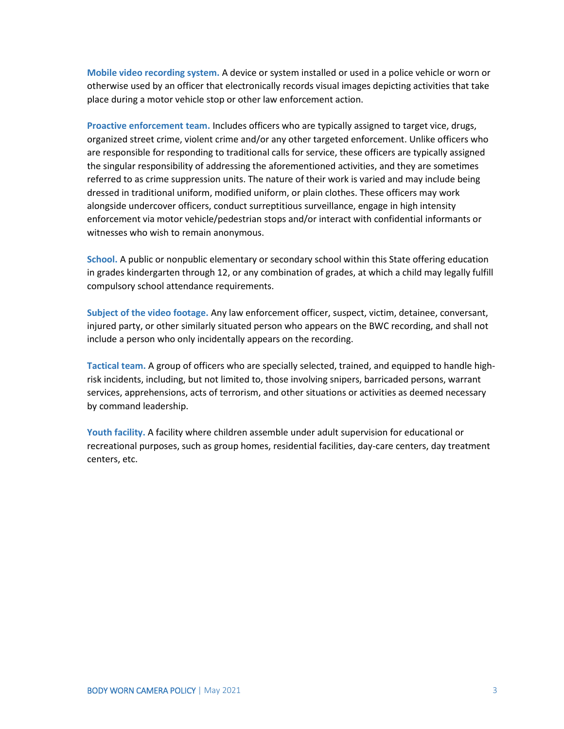**Mobile video recording system.** A device or system installed or used in a police vehicle or worn or otherwise used by an officer that electronically records visual images depicting activities that take place during a motor vehicle stop or other law enforcement action.

**Proactive enforcement team.** Includes officers who are typically assigned to target vice, drugs, organized street crime, violent crime and/or any other targeted enforcement. Unlike officers who are responsible for responding to traditional calls for service, these officers are typically assigned the singular responsibility of addressing the aforementioned activities, and they are sometimes referred to as crime suppression units. The nature of their work is varied and may include being dressed in traditional uniform, modified uniform, or plain clothes. These officers may work alongside undercover officers, conduct surreptitious surveillance, engage in high intensity enforcement via motor vehicle/pedestrian stops and/or interact with confidential informants or witnesses who wish to remain anonymous.

**School.** A public or nonpublic elementary or secondary school within this State offering education in grades kindergarten through 12, or any combination of grades, at which a child may legally fulfill compulsory school attendance requirements.

**Subject of the video footage.** Any law enforcement officer, suspect, victim, detainee, conversant, injured party, or other similarly situated person who appears on the BWC recording, and shall not include a person who only incidentally appears on the recording.

**Tactical team.** A group of officers who are specially selected, trained, and equipped to handle highrisk incidents, including, but not limited to, those involving snipers, barricaded persons, warrant services, apprehensions, acts of terrorism, and other situations or activities as deemed necessary by command leadership.

**Youth facility.** A facility where children assemble under adult supervision for educational or recreational purposes, such as group homes, residential facilities, day-care centers, day treatment centers, etc.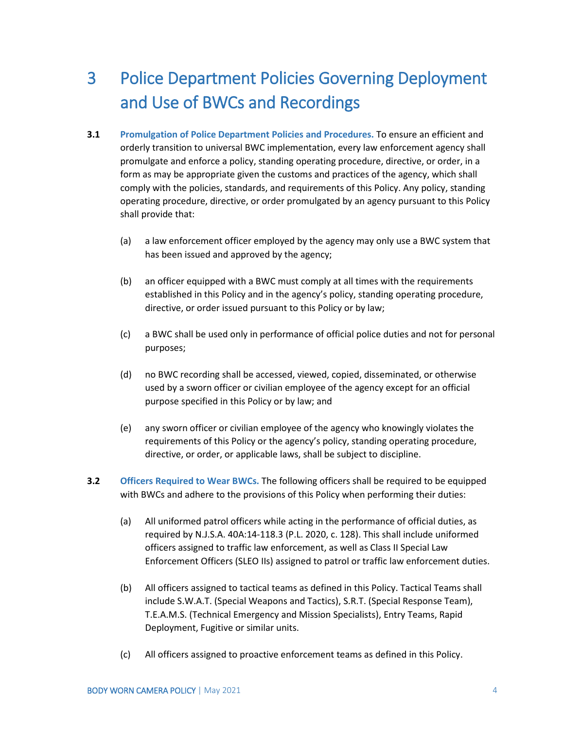### <span id="page-6-0"></span>3 Police Department Policies Governing Deployment and Use of BWCs and Recordings

- **3.1 Promulgation of Police Department Policies and Procedures.** To ensure an efficient and orderly transition to universal BWC implementation, every law enforcement agency shall promulgate and enforce a policy, standing operating procedure, directive, or order, in a form as may be appropriate given the customs and practices of the agency, which shall comply with the policies, standards, and requirements of this Policy. Any policy, standing operating procedure, directive, or order promulgated by an agency pursuant to this Policy shall provide that:
	- (a) a law enforcement officer employed by the agency may only use a BWC system that has been issued and approved by the agency;
	- (b) an officer equipped with a BWC must comply at all times with the requirements established in this Policy and in the agency's policy, standing operating procedure, directive, or order issued pursuant to this Policy or by law;
	- (c) a BWC shall be used only in performance of official police duties and not for personal purposes;
	- (d) no BWC recording shall be accessed, viewed, copied, disseminated, or otherwise used by a sworn officer or civilian employee of the agency except for an official purpose specified in this Policy or by law; and
	- (e) any sworn officer or civilian employee of the agency who knowingly violates the requirements of this Policy or the agency's policy, standing operating procedure, directive, or order, or applicable laws, shall be subject to discipline.
- **3.2 Officers Required to Wear BWCs.** The following officers shall be required to be equipped with BWCs and adhere to the provisions of this Policy when performing their duties:
	- (a) All uniformed patrol officers while acting in the performance of official duties, as required by N.J.S.A. 40A:14-118.3 (P.L. 2020, c. 128). This shall include uniformed officers assigned to traffic law enforcement, as well as Class II Special Law Enforcement Officers (SLEO IIs) assigned to patrol or traffic law enforcement duties.
	- (b) All officers assigned to tactical teams as defined in this Policy. Tactical Teams shall include S.W.A.T. (Special Weapons and Tactics), S.R.T. (Special Response Team), T.E.A.M.S. (Technical Emergency and Mission Specialists), Entry Teams, Rapid Deployment, Fugitive or similar units.
	- (c) All officers assigned to proactive enforcement teams as defined in this Policy.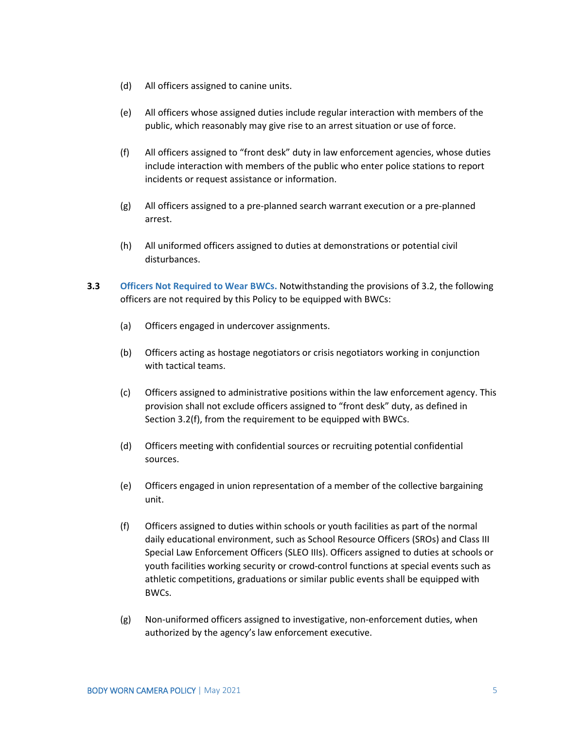- (d) All officers assigned to canine units.
- (e) All officers whose assigned duties include regular interaction with members of the public, which reasonably may give rise to an arrest situation or use of force.
- (f) All officers assigned to "front desk" duty in law enforcement agencies, whose duties include interaction with members of the public who enter police stations to report incidents or request assistance or information.
- (g) All officers assigned to a pre-planned search warrant execution or a pre-planned arrest.
- (h) All uniformed officers assigned to duties at demonstrations or potential civil disturbances.
- **3.3 Officers Not Required to Wear BWCs.** Notwithstanding the provisions of 3.2, the following officers are not required by this Policy to be equipped with BWCs:
	- (a) Officers engaged in undercover assignments.
	- (b) Officers acting as hostage negotiators or crisis negotiators working in conjunction with tactical teams.
	- (c) Officers assigned to administrative positions within the law enforcement agency. This provision shall not exclude officers assigned to "front desk" duty, as defined in Section 3.2(f), from the requirement to be equipped with BWCs.
	- (d) Officers meeting with confidential sources or recruiting potential confidential sources.
	- (e) Officers engaged in union representation of a member of the collective bargaining unit.
	- (f) Officers assigned to duties within schools or youth facilities as part of the normal daily educational environment, such as School Resource Officers (SROs) and Class III Special Law Enforcement Officers (SLEO IIIs). Officers assigned to duties at schools or youth facilities working security or crowd-control functions at special events such as athletic competitions, graduations or similar public events shall be equipped with BWCs.
	- (g) Non-uniformed officers assigned to investigative, non-enforcement duties, when authorized by the agency's law enforcement executive.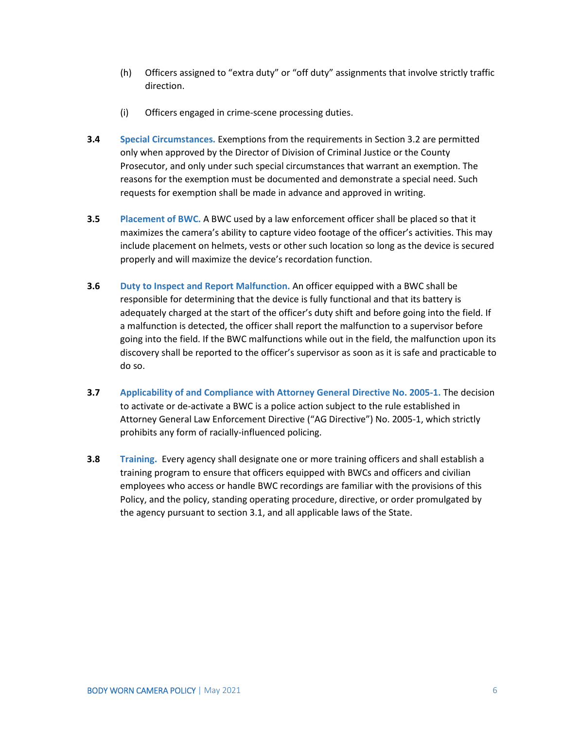- (h) Officers assigned to "extra duty" or "off duty" assignments that involve strictly traffic direction.
- (i) Officers engaged in crime-scene processing duties.
- **3.4 Special Circumstances.** Exemptions from the requirements in Section 3.2 are permitted only when approved by the Director of Division of Criminal Justice or the County Prosecutor, and only under such special circumstances that warrant an exemption. The reasons for the exemption must be documented and demonstrate a special need. Such requests for exemption shall be made in advance and approved in writing.
- **3.5 Placement of BWC.** A BWC used by a law enforcement officer shall be placed so that it maximizes the camera's ability to capture video footage of the officer's activities. This may include placement on helmets, vests or other such location so long as the device is secured properly and will maximize the device's recordation function.
- **3.6 Duty to Inspect and Report Malfunction.** An officer equipped with a BWC shall be responsible for determining that the device is fully functional and that its battery is adequately charged at the start of the officer's duty shift and before going into the field. If a malfunction is detected, the officer shall report the malfunction to a supervisor before going into the field. If the BWC malfunctions while out in the field, the malfunction upon its discovery shall be reported to the officer's supervisor as soon as it is safe and practicable to do so.
- **3.7 Applicability of and Compliance with Attorney General Directive No. 2005-1.** The decision to activate or de-activate a BWC is a police action subject to the rule established in Attorney General Law Enforcement Directive ("AG Directive") No. 2005-1, which strictly prohibits any form of racially-influenced policing.
- **3.8 Training.** Every agency shall designate one or more training officers and shall establish a training program to ensure that officers equipped with BWCs and officers and civilian employees who access or handle BWC recordings are familiar with the provisions of this Policy, and the policy, standing operating procedure, directive, or order promulgated by the agency pursuant to section 3.1, and all applicable laws of the State.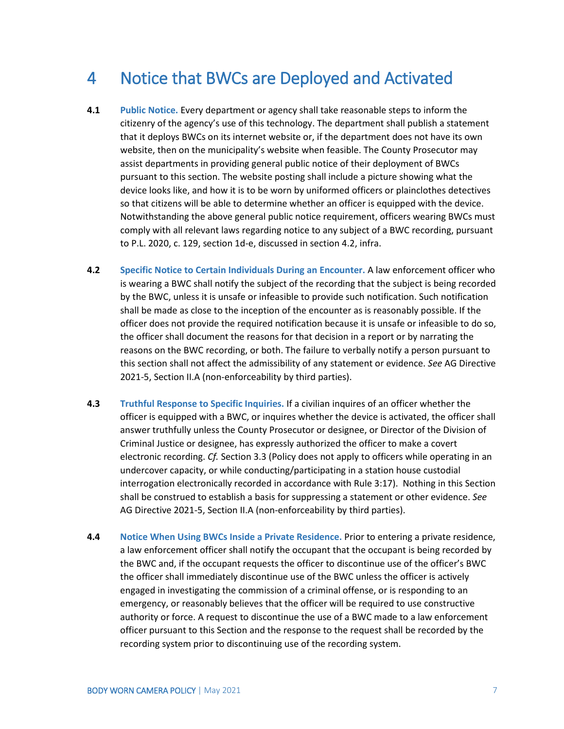### <span id="page-9-0"></span>4 Notice that BWCs are Deployed and Activated

- **4.1 Public Notice.** Every department or agency shall take reasonable steps to inform the citizenry of the agency's use of this technology. The department shall publish a statement that it deploys BWCs on its internet website or, if the department does not have its own website, then on the municipality's website when feasible. The County Prosecutor may assist departments in providing general public notice of their deployment of BWCs pursuant to this section. The website posting shall include a picture showing what the device looks like, and how it is to be worn by uniformed officers or plainclothes detectives so that citizens will be able to determine whether an officer is equipped with the device. Notwithstanding the above general public notice requirement, officers wearing BWCs must comply with all relevant laws regarding notice to any subject of a BWC recording, pursuant to P.L. 2020, c. 129, section 1d-e, discussed in section 4.2, infra.
- **4.2 Specific Notice to Certain Individuals During an Encounter.** A law enforcement officer who is wearing a BWC shall notify the subject of the recording that the subject is being recorded by the BWC, unless it is unsafe or infeasible to provide such notification. Such notification shall be made as close to the inception of the encounter as is reasonably possible. If the officer does not provide the required notification because it is unsafe or infeasible to do so, the officer shall document the reasons for that decision in a report or by narrating the reasons on the BWC recording, or both. The failure to verbally notify a person pursuant to this section shall not affect the admissibility of any statement or evidence. *See* AG Directive 2021-5, Section II.A (non-enforceability by third parties).
- **4.3 Truthful Response to Specific Inquiries.** If a civilian inquires of an officer whether the officer is equipped with a BWC, or inquires whether the device is activated, the officer shall answer truthfully unless the County Prosecutor or designee, or Director of the Division of Criminal Justice or designee, has expressly authorized the officer to make a covert electronic recording. *Cf.* Section 3.3 (Policy does not apply to officers while operating in an undercover capacity, or while conducting/participating in a station house custodial interrogation electronically recorded in accordance with Rule 3:17). Nothing in this Section shall be construed to establish a basis for suppressing a statement or other evidence. *See*  AG Directive 2021-5, Section II.A (non-enforceability by third parties).
- **4.4 Notice When Using BWCs Inside a Private Residence.** Prior to entering a private residence, a law enforcement officer shall notify the occupant that the occupant is being recorded by the BWC and, if the occupant requests the officer to discontinue use of the officer's BWC the officer shall immediately discontinue use of the BWC unless the officer is actively engaged in investigating the commission of a criminal offense, or is responding to an emergency, or reasonably believes that the officer will be required to use constructive authority or force. A request to discontinue the use of a BWC made to a law enforcement officer pursuant to this Section and the response to the request shall be recorded by the recording system prior to discontinuing use of the recording system.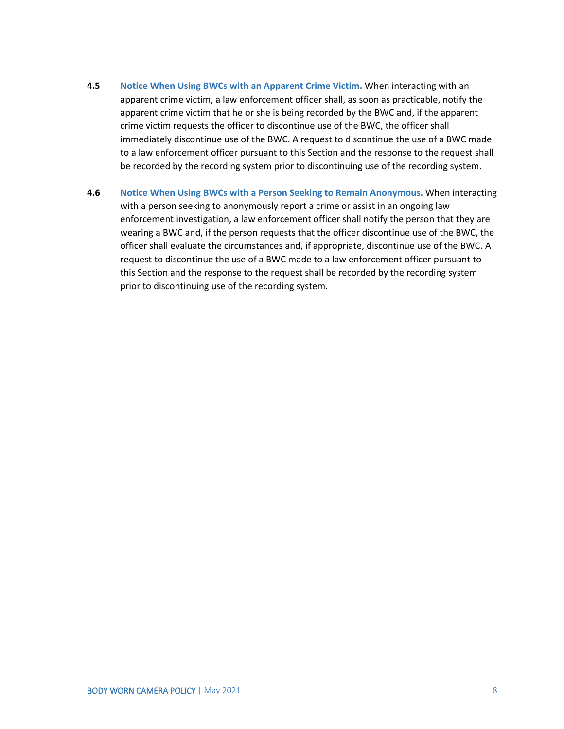- **4.5 Notice When Using BWCs with an Apparent Crime Victim.** When interacting with an apparent crime victim, a law enforcement officer shall, as soon as practicable, notify the apparent crime victim that he or she is being recorded by the BWC and, if the apparent crime victim requests the officer to discontinue use of the BWC, the officer shall immediately discontinue use of the BWC. A request to discontinue the use of a BWC made to a law enforcement officer pursuant to this Section and the response to the request shall be recorded by the recording system prior to discontinuing use of the recording system.
- **4.6 Notice When Using BWCs with a Person Seeking to Remain Anonymous.** When interacting with a person seeking to anonymously report a crime or assist in an ongoing law enforcement investigation, a law enforcement officer shall notify the person that they are wearing a BWC and, if the person requests that the officer discontinue use of the BWC, the officer shall evaluate the circumstances and, if appropriate, discontinue use of the BWC. A request to discontinue the use of a BWC made to a law enforcement officer pursuant to this Section and the response to the request shall be recorded by the recording system prior to discontinuing use of the recording system.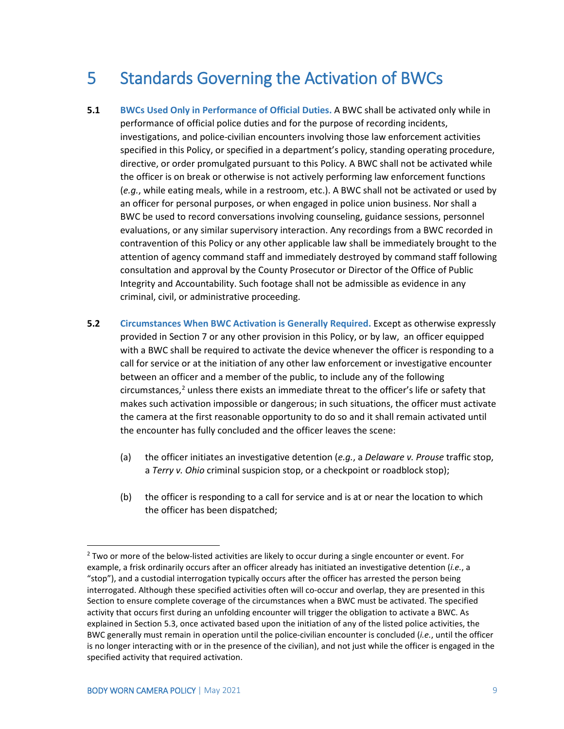### <span id="page-11-0"></span>5 Standards Governing the Activation of BWCs

- **5.1 BWCs Used Only in Performance of Official Duties.** A BWC shall be activated only while in performance of official police duties and for the purpose of recording incidents, investigations, and police-civilian encounters involving those law enforcement activities specified in this Policy, or specified in a department's policy, standing operating procedure, directive, or order promulgated pursuant to this Policy. A BWC shall not be activated while the officer is on break or otherwise is not actively performing law enforcement functions (*e.g.*, while eating meals, while in a restroom, etc.). A BWC shall not be activated or used by an officer for personal purposes, or when engaged in police union business. Nor shall a BWC be used to record conversations involving counseling, guidance sessions, personnel evaluations, or any similar supervisory interaction. Any recordings from a BWC recorded in contravention of this Policy or any other applicable law shall be immediately brought to the attention of agency command staff and immediately destroyed by command staff following consultation and approval by the County Prosecutor or Director of the Office of Public Integrity and Accountability. Such footage shall not be admissible as evidence in any criminal, civil, or administrative proceeding.
- **5.2 Circumstances When BWC Activation is Generally Required.** Except as otherwise expressly provided in Section 7 or any other provision in this Policy, or by law, an officer equipped with a BWC shall be required to activate the device whenever the officer is responding to a call for service or at the initiation of any other law enforcement or investigative encounter between an officer and a member of the public, to include any of the following  $circumstances<sub>i</sub><sup>2</sup>$  $circumstances<sub>i</sub><sup>2</sup>$  $circumstances<sub>i</sub><sup>2</sup>$  unless there exists an immediate threat to the officer's life or safety that makes such activation impossible or dangerous; in such situations, the officer must activate the camera at the first reasonable opportunity to do so and it shall remain activated until the encounter has fully concluded and the officer leaves the scene:
	- (a) the officer initiates an investigative detention (*e.g.*, a *Delaware v. Prouse* traffic stop, a *Terry v. Ohio* criminal suspicion stop, or a checkpoint or roadblock stop);
	- (b) the officer is responding to a call for service and is at or near the location to which the officer has been dispatched;

<span id="page-11-1"></span><sup>&</sup>lt;sup>2</sup> Two or more of the below-listed activities are likely to occur during a single encounter or event. For example, a frisk ordinarily occurs after an officer already has initiated an investigative detention (*i.e.*, a "stop"), and a custodial interrogation typically occurs after the officer has arrested the person being interrogated. Although these specified activities often will co-occur and overlap, they are presented in this Section to ensure complete coverage of the circumstances when a BWC must be activated. The specified activity that occurs first during an unfolding encounter will trigger the obligation to activate a BWC. As explained in Section 5.3, once activated based upon the initiation of any of the listed police activities, the BWC generally must remain in operation until the police-civilian encounter is concluded (*i.e.*, until the officer is no longer interacting with or in the presence of the civilian), and not just while the officer is engaged in the specified activity that required activation.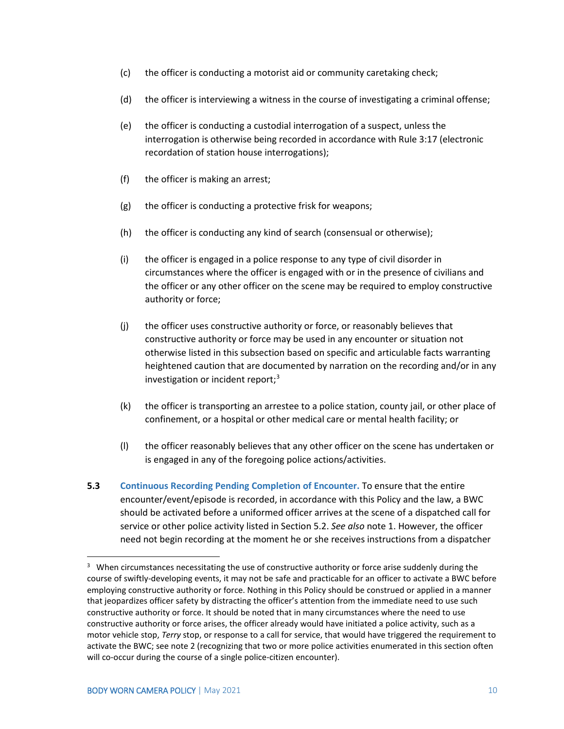- (c) the officer is conducting a motorist aid or community caretaking check;
- (d) the officer is interviewing a witness in the course of investigating a criminal offense;
- (e) the officer is conducting a custodial interrogation of a suspect, unless the interrogation is otherwise being recorded in accordance with Rule 3:17 (electronic recordation of station house interrogations);
- (f) the officer is making an arrest;
- $(g)$  the officer is conducting a protective frisk for weapons;
- (h) the officer is conducting any kind of search (consensual or otherwise);
- (i) the officer is engaged in a police response to any type of civil disorder in circumstances where the officer is engaged with or in the presence of civilians and the officer or any other officer on the scene may be required to employ constructive authority or force;
- (j) the officer uses constructive authority or force, or reasonably believes that constructive authority or force may be used in any encounter or situation not otherwise listed in this subsection based on specific and articulable facts warranting heightened caution that are documented by narration on the recording and/or in any investigation or incident report;<sup>[3](#page-12-0)</sup>
- (k) the officer is transporting an arrestee to a police station, county jail, or other place of confinement, or a hospital or other medical care or mental health facility; or
- (l) the officer reasonably believes that any other officer on the scene has undertaken or is engaged in any of the foregoing police actions/activities.
- **5.3 Continuous Recording Pending Completion of Encounter.** To ensure that the entire encounter/event/episode is recorded, in accordance with this Policy and the law, a BWC should be activated before a uniformed officer arrives at the scene of a dispatched call for service or other police activity listed in Section 5.2. *See also* note 1. However, the officer need not begin recording at the moment he or she receives instructions from a dispatcher

<span id="page-12-0"></span><sup>&</sup>lt;sup>3</sup> When circumstances necessitating the use of constructive authority or force arise suddenly during the course of swiftly-developing events, it may not be safe and practicable for an officer to activate a BWC before employing constructive authority or force. Nothing in this Policy should be construed or applied in a manner that jeopardizes officer safety by distracting the officer's attention from the immediate need to use such constructive authority or force. It should be noted that in many circumstances where the need to use constructive authority or force arises, the officer already would have initiated a police activity, such as a motor vehicle stop, *Terry* stop, or response to a call for service, that would have triggered the requirement to activate the BWC; see note 2 (recognizing that two or more police activities enumerated in this section often will co-occur during the course of a single police-citizen encounter).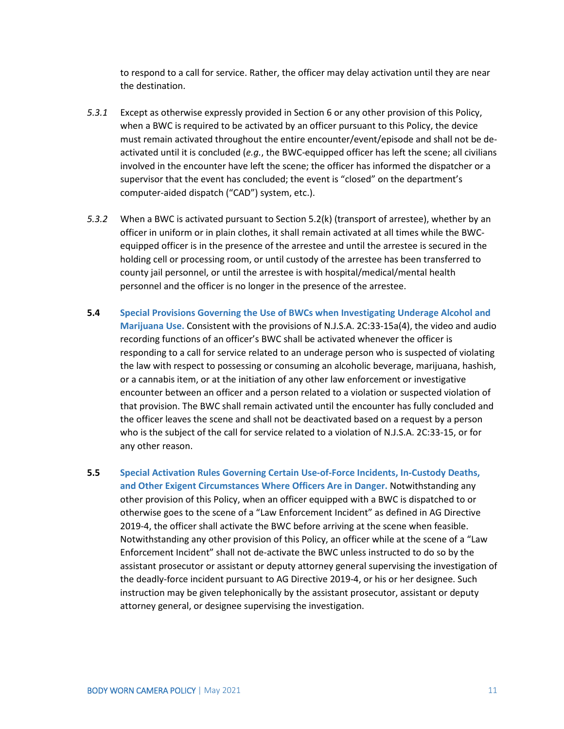to respond to a call for service. Rather, the officer may delay activation until they are near the destination.

- *5.3.1* Except as otherwise expressly provided in Section 6 or any other provision of this Policy, when a BWC is required to be activated by an officer pursuant to this Policy, the device must remain activated throughout the entire encounter/event/episode and shall not be deactivated until it is concluded (*e.g.*, the BWC-equipped officer has left the scene; all civilians involved in the encounter have left the scene; the officer has informed the dispatcher or a supervisor that the event has concluded; the event is "closed" on the department's computer-aided dispatch ("CAD") system, etc.).
- *5.3.2* When a BWC is activated pursuant to Section 5.2(k) (transport of arrestee), whether by an officer in uniform or in plain clothes, it shall remain activated at all times while the BWCequipped officer is in the presence of the arrestee and until the arrestee is secured in the holding cell or processing room, or until custody of the arrestee has been transferred to county jail personnel, or until the arrestee is with hospital/medical/mental health personnel and the officer is no longer in the presence of the arrestee.
- **5.4 Special Provisions Governing the Use of BWCs when Investigating Underage Alcohol and Marijuana Use.** Consistent with the provisions of N.J.S.A. 2C:33-15a(4), the video and audio recording functions of an officer's BWC shall be activated whenever the officer is responding to a call for service related to an underage person who is suspected of violating the law with respect to possessing or consuming an alcoholic beverage, marijuana, hashish, or a cannabis item, or at the initiation of any other law enforcement or investigative encounter between an officer and a person related to a violation or suspected violation of that provision. The BWC shall remain activated until the encounter has fully concluded and the officer leaves the scene and shall not be deactivated based on a request by a person who is the subject of the call for service related to a violation of N.J.S.A. 2C:33-15, or for any other reason.
- **5.5 Special Activation Rules Governing Certain Use-of-Force Incidents, In-Custody Deaths, and Other Exigent Circumstances Where Officers Are in Danger.** Notwithstanding any other provision of this Policy, when an officer equipped with a BWC is dispatched to or otherwise goes to the scene of a "Law Enforcement Incident" as defined in AG Directive 2019-4, the officer shall activate the BWC before arriving at the scene when feasible. Notwithstanding any other provision of this Policy, an officer while at the scene of a "Law Enforcement Incident" shall not de-activate the BWC unless instructed to do so by the assistant prosecutor or assistant or deputy attorney general supervising the investigation of the deadly-force incident pursuant to AG Directive 2019-4, or his or her designee. Such instruction may be given telephonically by the assistant prosecutor, assistant or deputy attorney general, or designee supervising the investigation.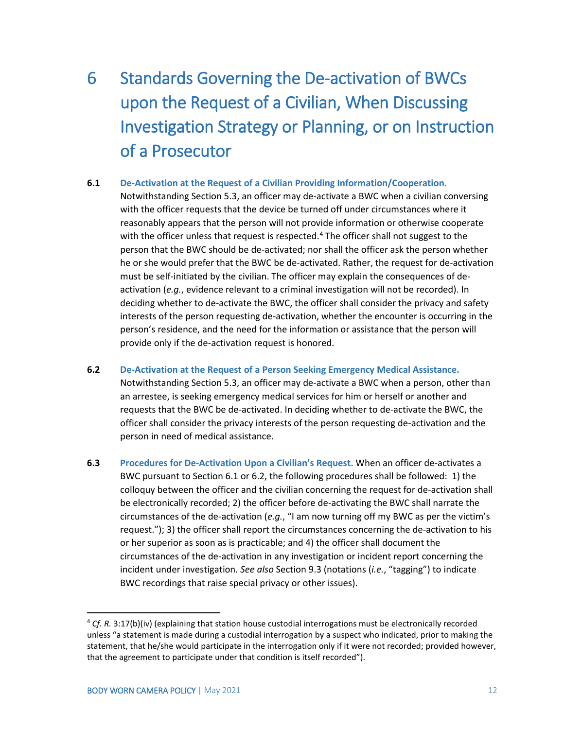### <span id="page-14-0"></span>6 Standards Governing the De-activation of BWCs upon the Request of a Civilian, When Discussing Investigation Strategy or Planning, or on Instruction of a Prosecutor

#### **6.1 De-Activation at the Request of a Civilian Providing Information/Cooperation.**

Notwithstanding Section 5.3, an officer may de-activate a BWC when a civilian conversing with the officer requests that the device be turned off under circumstances where it reasonably appears that the person will not provide information or otherwise cooperate with the officer unless that request is respected.<sup>[4](#page-14-1)</sup> The officer shall not suggest to the person that the BWC should be de-activated; nor shall the officer ask the person whether he or she would prefer that the BWC be de-activated. Rather, the request for de-activation must be self-initiated by the civilian. The officer may explain the consequences of deactivation (*e.g.*, evidence relevant to a criminal investigation will not be recorded). In deciding whether to de-activate the BWC, the officer shall consider the privacy and safety interests of the person requesting de-activation, whether the encounter is occurring in the person's residence, and the need for the information or assistance that the person will provide only if the de-activation request is honored.

- **6.2 De-Activation at the Request of a Person Seeking Emergency Medical Assistance.** Notwithstanding Section 5.3, an officer may de-activate a BWC when a person, other than an arrestee, is seeking emergency medical services for him or herself or another and requests that the BWC be de-activated. In deciding whether to de-activate the BWC, the officer shall consider the privacy interests of the person requesting de-activation and the person in need of medical assistance.
- **6.3 Procedures for De-Activation Upon a Civilian's Request.** When an officer de-activates a BWC pursuant to Section 6.1 or 6.2, the following procedures shall be followed: 1) the colloquy between the officer and the civilian concerning the request for de-activation shall be electronically recorded; 2) the officer before de-activating the BWC shall narrate the circumstances of the de-activation (*e.g.*, "I am now turning off my BWC as per the victim's request."); 3) the officer shall report the circumstances concerning the de-activation to his or her superior as soon as is practicable; and 4) the officer shall document the circumstances of the de-activation in any investigation or incident report concerning the incident under investigation. *See also* Section 9.3 (notations (*i.e.*, "tagging") to indicate BWC recordings that raise special privacy or other issues).

<span id="page-14-1"></span> <sup>4</sup> *Cf. R.* 3:17(b)(iv) (explaining that station house custodial interrogations must be electronically recorded unless "a statement is made during a custodial interrogation by a suspect who indicated, prior to making the statement, that he/she would participate in the interrogation only if it were not recorded; provided however, that the agreement to participate under that condition is itself recorded").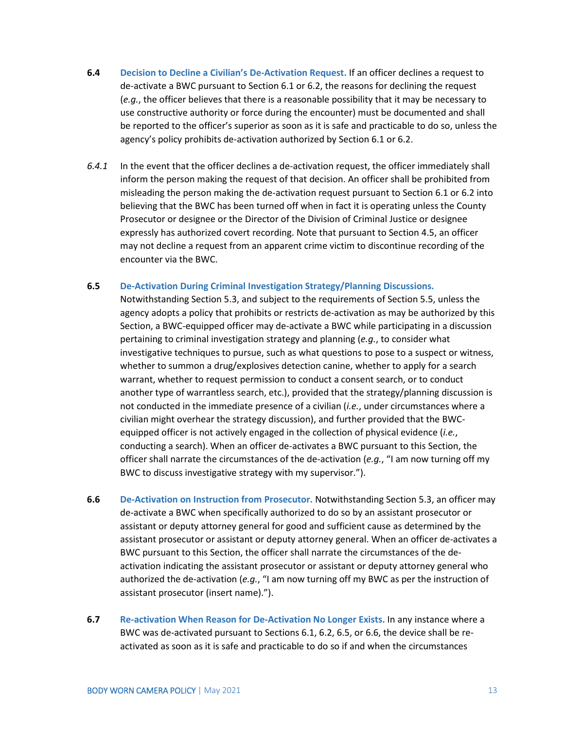- **6.4 Decision to Decline a Civilian's De-Activation Request.** If an officer declines a request to de-activate a BWC pursuant to Section 6.1 or 6.2, the reasons for declining the request (*e.g.*, the officer believes that there is a reasonable possibility that it may be necessary to use constructive authority or force during the encounter) must be documented and shall be reported to the officer's superior as soon as it is safe and practicable to do so, unless the agency's policy prohibits de-activation authorized by Section 6.1 or 6.2.
- *6.4.1* In the event that the officer declines a de-activation request, the officer immediately shall inform the person making the request of that decision. An officer shall be prohibited from misleading the person making the de-activation request pursuant to Section 6.1 or 6.2 into believing that the BWC has been turned off when in fact it is operating unless the County Prosecutor or designee or the Director of the Division of Criminal Justice or designee expressly has authorized covert recording. Note that pursuant to Section 4.5, an officer may not decline a request from an apparent crime victim to discontinue recording of the encounter via the BWC.

#### **6.5 De-Activation During Criminal Investigation Strategy/Planning Discussions.**

Notwithstanding Section 5.3, and subject to the requirements of Section 5.5, unless the agency adopts a policy that prohibits or restricts de-activation as may be authorized by this Section, a BWC-equipped officer may de-activate a BWC while participating in a discussion pertaining to criminal investigation strategy and planning (*e.g.*, to consider what investigative techniques to pursue, such as what questions to pose to a suspect or witness, whether to summon a drug/explosives detection canine, whether to apply for a search warrant, whether to request permission to conduct a consent search, or to conduct another type of warrantless search, etc.), provided that the strategy/planning discussion is not conducted in the immediate presence of a civilian (*i.e.*, under circumstances where a civilian might overhear the strategy discussion), and further provided that the BWCequipped officer is not actively engaged in the collection of physical evidence (*i.e.*, conducting a search). When an officer de-activates a BWC pursuant to this Section, the officer shall narrate the circumstances of the de-activation (*e.g.*, "I am now turning off my BWC to discuss investigative strategy with my supervisor.").

- **6.6 De-Activation on Instruction from Prosecutor.** Notwithstanding Section 5.3, an officer may de-activate a BWC when specifically authorized to do so by an assistant prosecutor or assistant or deputy attorney general for good and sufficient cause as determined by the assistant prosecutor or assistant or deputy attorney general. When an officer de-activates a BWC pursuant to this Section, the officer shall narrate the circumstances of the deactivation indicating the assistant prosecutor or assistant or deputy attorney general who authorized the de-activation (*e.g.*, "I am now turning off my BWC as per the instruction of assistant prosecutor (insert name).").
- **6.7 Re-activation When Reason for De-Activation No Longer Exists.** In any instance where a BWC was de-activated pursuant to Sections 6.1, 6.2, 6.5, or 6.6, the device shall be reactivated as soon as it is safe and practicable to do so if and when the circumstances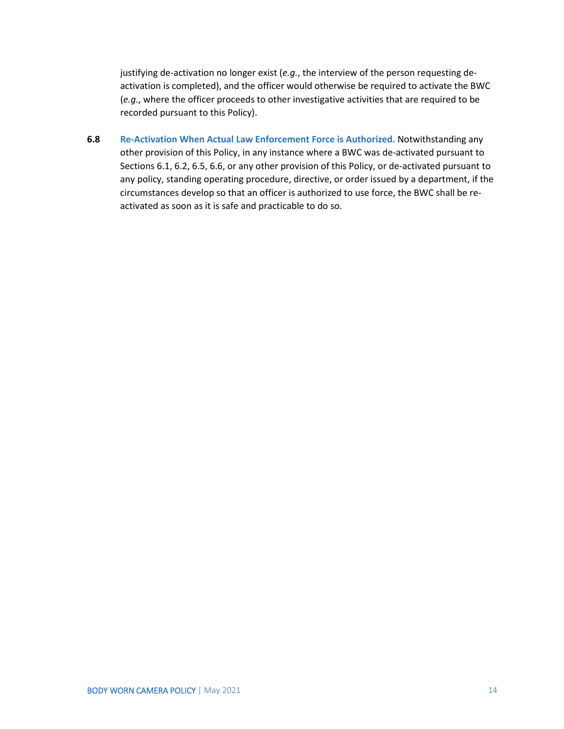justifying de-activation no longer exist (*e.g.*, the interview of the person requesting deactivation is completed), and the officer would otherwise be required to activate the BWC (*e.g.*, where the officer proceeds to other investigative activities that are required to be recorded pursuant to this Policy).

**6.8 Re-Activation When Actual Law Enforcement Force is Authorized.** Notwithstanding any other provision of this Policy, in any instance where a BWC was de-activated pursuant to Sections 6.1, 6.2, 6.5, 6.6, or any other provision of this Policy, or de-activated pursuant to any policy, standing operating procedure, directive, or order issued by a department, if the circumstances develop so that an officer is authorized to use force, the BWC shall be reactivated as soon as it is safe and practicable to do so.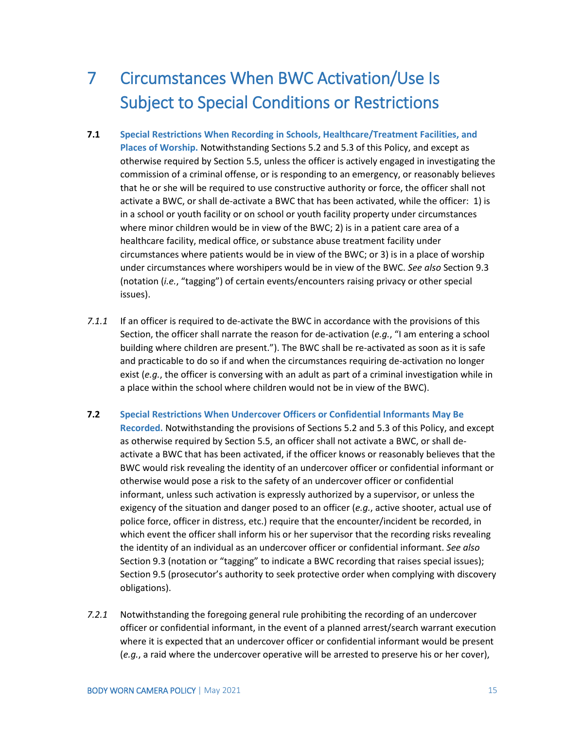### <span id="page-17-0"></span>7 Circumstances When BWC Activation/Use Is Subject to Special Conditions or Restrictions

- **7.1 Special Restrictions When Recording in Schools, Healthcare/Treatment Facilities, and Places of Worship.** Notwithstanding Sections 5.2 and 5.3 of this Policy, and except as otherwise required by Section 5.5, unless the officer is actively engaged in investigating the commission of a criminal offense, or is responding to an emergency, or reasonably believes that he or she will be required to use constructive authority or force, the officer shall not activate a BWC, or shall de-activate a BWC that has been activated, while the officer: 1) is in a school or youth facility or on school or youth facility property under circumstances where minor children would be in view of the BWC; 2) is in a patient care area of a healthcare facility, medical office, or substance abuse treatment facility under circumstances where patients would be in view of the BWC; or 3) is in a place of worship under circumstances where worshipers would be in view of the BWC. *See also* Section 9.3 (notation (*i.e.*, "tagging") of certain events/encounters raising privacy or other special issues).
- *7.1.1* If an officer is required to de-activate the BWC in accordance with the provisions of this Section, the officer shall narrate the reason for de-activation (*e.g.*, "I am entering a school building where children are present."). The BWC shall be re-activated as soon as it is safe and practicable to do so if and when the circumstances requiring de-activation no longer exist (*e.g.*, the officer is conversing with an adult as part of a criminal investigation while in a place within the school where children would not be in view of the BWC).
- **7.2 Special Restrictions When Undercover Officers or Confidential Informants May Be Recorded.** Notwithstanding the provisions of Sections 5.2 and 5.3 of this Policy, and except as otherwise required by Section 5.5, an officer shall not activate a BWC, or shall deactivate a BWC that has been activated, if the officer knows or reasonably believes that the BWC would risk revealing the identity of an undercover officer or confidential informant or otherwise would pose a risk to the safety of an undercover officer or confidential informant, unless such activation is expressly authorized by a supervisor, or unless the exigency of the situation and danger posed to an officer (*e.g.*, active shooter, actual use of police force, officer in distress, etc.) require that the encounter/incident be recorded, in which event the officer shall inform his or her supervisor that the recording risks revealing the identity of an individual as an undercover officer or confidential informant. *See also* Section 9.3 (notation or "tagging" to indicate a BWC recording that raises special issues); Section 9.5 (prosecutor's authority to seek protective order when complying with discovery obligations).
- *7.2.1* Notwithstanding the foregoing general rule prohibiting the recording of an undercover officer or confidential informant, in the event of a planned arrest/search warrant execution where it is expected that an undercover officer or confidential informant would be present (*e.g.*, a raid where the undercover operative will be arrested to preserve his or her cover),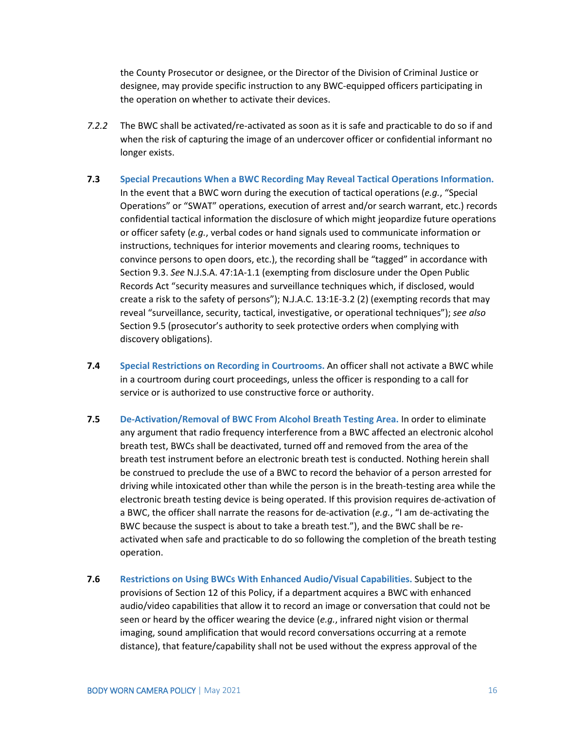the County Prosecutor or designee, or the Director of the Division of Criminal Justice or designee, may provide specific instruction to any BWC-equipped officers participating in the operation on whether to activate their devices.

- *7.2.2* The BWC shall be activated/re-activated as soon as it is safe and practicable to do so if and when the risk of capturing the image of an undercover officer or confidential informant no longer exists.
- **7.3 Special Precautions When a BWC Recording May Reveal Tactical Operations Information.** In the event that a BWC worn during the execution of tactical operations (*e.g.*, "Special Operations" or "SWAT" operations, execution of arrest and/or search warrant, etc.) records confidential tactical information the disclosure of which might jeopardize future operations or officer safety (*e.g.*, verbal codes or hand signals used to communicate information or instructions, techniques for interior movements and clearing rooms, techniques to convince persons to open doors, etc.), the recording shall be "tagged" in accordance with Section 9.3. *See* N.J.S.A. 47:1A-1.1 (exempting from disclosure under the Open Public Records Act "security measures and surveillance techniques which, if disclosed, would create a risk to the safety of persons"); N.J.A.C. 13:1E-3.2 (2) (exempting records that may reveal "surveillance, security, tactical, investigative, or operational techniques"); *see also* Section 9.5 (prosecutor's authority to seek protective orders when complying with discovery obligations).
- **7.4 Special Restrictions on Recording in Courtrooms.** An officer shall not activate a BWC while in a courtroom during court proceedings, unless the officer is responding to a call for service or is authorized to use constructive force or authority.
- **7.5 De-Activation/Removal of BWC From Alcohol Breath Testing Area.** In order to eliminate any argument that radio frequency interference from a BWC affected an electronic alcohol breath test, BWCs shall be deactivated, turned off and removed from the area of the breath test instrument before an electronic breath test is conducted. Nothing herein shall be construed to preclude the use of a BWC to record the behavior of a person arrested for driving while intoxicated other than while the person is in the breath-testing area while the electronic breath testing device is being operated. If this provision requires de-activation of a BWC, the officer shall narrate the reasons for de-activation (*e.g.*, "I am de-activating the BWC because the suspect is about to take a breath test."), and the BWC shall be reactivated when safe and practicable to do so following the completion of the breath testing operation.
- **7.6 Restrictions on Using BWCs With Enhanced Audio/Visual Capabilities.** Subject to the provisions of Section 12 of this Policy, if a department acquires a BWC with enhanced audio/video capabilities that allow it to record an image or conversation that could not be seen or heard by the officer wearing the device (*e.g.*, infrared night vision or thermal imaging, sound amplification that would record conversations occurring at a remote distance), that feature/capability shall not be used without the express approval of the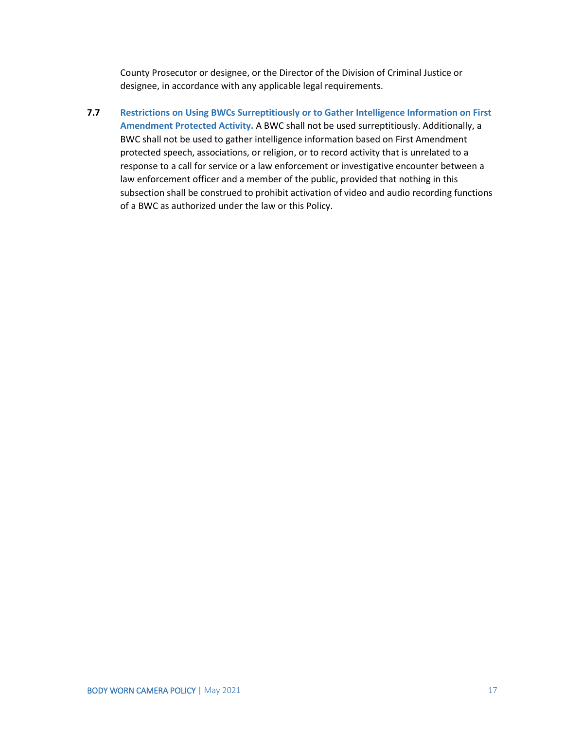County Prosecutor or designee, or the Director of the Division of Criminal Justice or designee, in accordance with any applicable legal requirements.

**7.7 Restrictions on Using BWCs Surreptitiously or to Gather Intelligence Information on First Amendment Protected Activity.** A BWC shall not be used surreptitiously. Additionally, a BWC shall not be used to gather intelligence information based on First Amendment protected speech, associations, or religion, or to record activity that is unrelated to a response to a call for service or a law enforcement or investigative encounter between a law enforcement officer and a member of the public, provided that nothing in this subsection shall be construed to prohibit activation of video and audio recording functions of a BWC as authorized under the law or this Policy.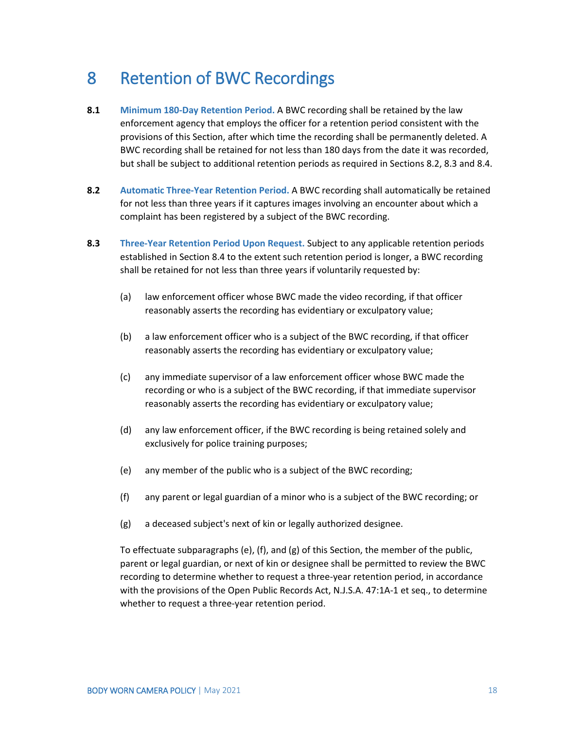### <span id="page-20-0"></span>8 Retention of BWC Recordings

- **8.1 Minimum 180-Day Retention Period.** A BWC recording shall be retained by the law enforcement agency that employs the officer for a retention period consistent with the provisions of this Section, after which time the recording shall be permanently deleted. A BWC recording shall be retained for not less than 180 days from the date it was recorded, but shall be subject to additional retention periods as required in Sections 8.2, 8.3 and 8.4.
- **8.2 Automatic Three-Year Retention Period.** A BWC recording shall automatically be retained for not less than three years if it captures images involving an encounter about which a complaint has been registered by a subject of the BWC recording.
- **8.3 Three-Year Retention Period Upon Request.** Subject to any applicable retention periods established in Section 8.4 to the extent such retention period is longer, a BWC recording shall be retained for not less than three years if voluntarily requested by:
	- (a) law enforcement officer whose BWC made the video recording, if that officer reasonably asserts the recording has evidentiary or exculpatory value;
	- (b) a law enforcement officer who is a subject of the BWC recording, if that officer reasonably asserts the recording has evidentiary or exculpatory value;
	- (c) any immediate supervisor of a law enforcement officer whose BWC made the recording or who is a subject of the BWC recording, if that immediate supervisor reasonably asserts the recording has evidentiary or exculpatory value;
	- (d) any law enforcement officer, if the BWC recording is being retained solely and exclusively for police training purposes;
	- (e) any member of the public who is a subject of the BWC recording;
	- (f) any parent or legal guardian of a minor who is a subject of the BWC recording; or
	- (g) a deceased subject's next of kin or legally authorized designee.

To effectuate subparagraphs (e), (f), and (g) of this Section, the member of the public, parent or legal guardian, or next of kin or designee shall be permitted to review the BWC recording to determine whether to request a three-year retention period, in accordance with the provisions of the Open Public Records Act, N.J.S.A. 47:1A-1 et seq., to determine whether to request a three-year retention period.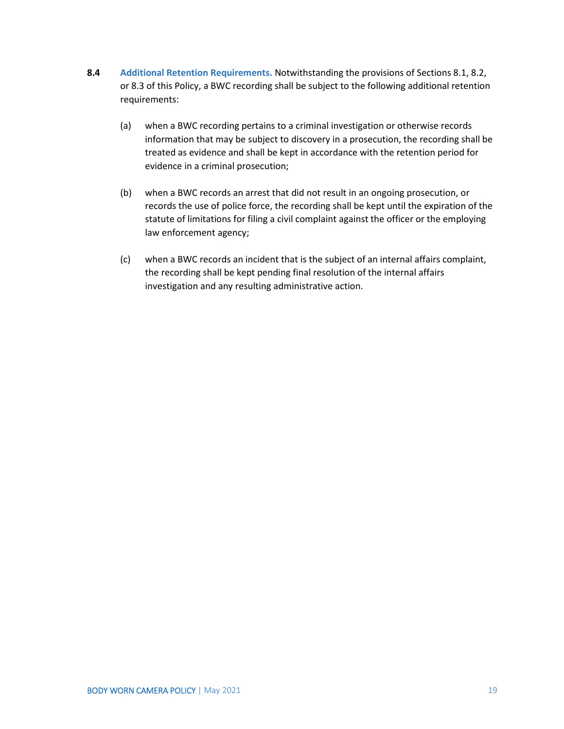- **8.4 Additional Retention Requirements.** Notwithstanding the provisions of Sections 8.1, 8.2, or 8.3 of this Policy, a BWC recording shall be subject to the following additional retention requirements:
	- (a) when a BWC recording pertains to a criminal investigation or otherwise records information that may be subject to discovery in a prosecution, the recording shall be treated as evidence and shall be kept in accordance with the retention period for evidence in a criminal prosecution;
	- (b) when a BWC records an arrest that did not result in an ongoing prosecution, or records the use of police force, the recording shall be kept until the expiration of the statute of limitations for filing a civil complaint against the officer or the employing law enforcement agency;
	- (c) when a BWC records an incident that is the subject of an internal affairs complaint, the recording shall be kept pending final resolution of the internal affairs investigation and any resulting administrative action.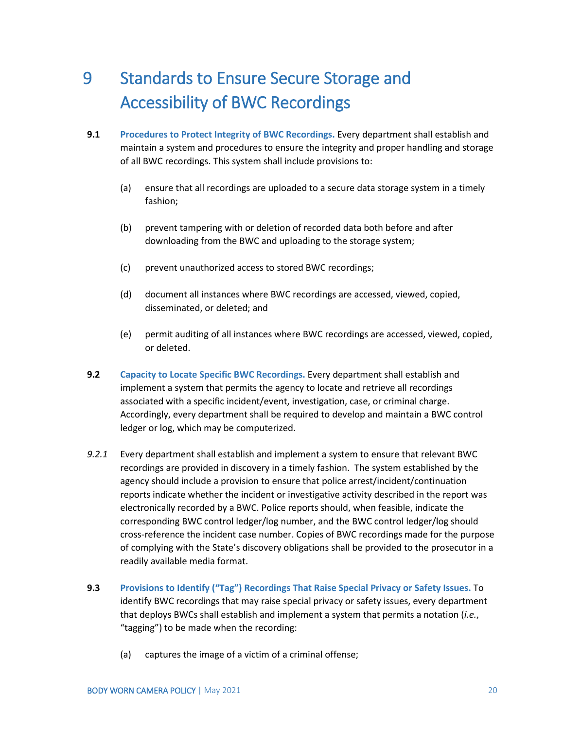### <span id="page-22-0"></span>9 Standards to Ensure Secure Storage and Accessibility of BWC Recordings

- **9.1 Procedures to Protect Integrity of BWC Recordings.** Every department shall establish and maintain a system and procedures to ensure the integrity and proper handling and storage of all BWC recordings. This system shall include provisions to:
	- (a) ensure that all recordings are uploaded to a secure data storage system in a timely fashion;
	- (b) prevent tampering with or deletion of recorded data both before and after downloading from the BWC and uploading to the storage system;
	- (c) prevent unauthorized access to stored BWC recordings;
	- (d) document all instances where BWC recordings are accessed, viewed, copied, disseminated, or deleted; and
	- (e) permit auditing of all instances where BWC recordings are accessed, viewed, copied, or deleted.
- **9.2 Capacity to Locate Specific BWC Recordings.** Every department shall establish and implement a system that permits the agency to locate and retrieve all recordings associated with a specific incident/event, investigation, case, or criminal charge. Accordingly, every department shall be required to develop and maintain a BWC control ledger or log, which may be computerized.
- *9.2.1* Every department shall establish and implement a system to ensure that relevant BWC recordings are provided in discovery in a timely fashion. The system established by the agency should include a provision to ensure that police arrest/incident/continuation reports indicate whether the incident or investigative activity described in the report was electronically recorded by a BWC. Police reports should, when feasible, indicate the corresponding BWC control ledger/log number, and the BWC control ledger/log should cross-reference the incident case number. Copies of BWC recordings made for the purpose of complying with the State's discovery obligations shall be provided to the prosecutor in a readily available media format.
- **9.3 Provisions to Identify ("Tag") Recordings That Raise Special Privacy or Safety Issues.** To identify BWC recordings that may raise special privacy or safety issues, every department that deploys BWCs shall establish and implement a system that permits a notation (*i.e.*, "tagging") to be made when the recording:
	- (a) captures the image of a victim of a criminal offense;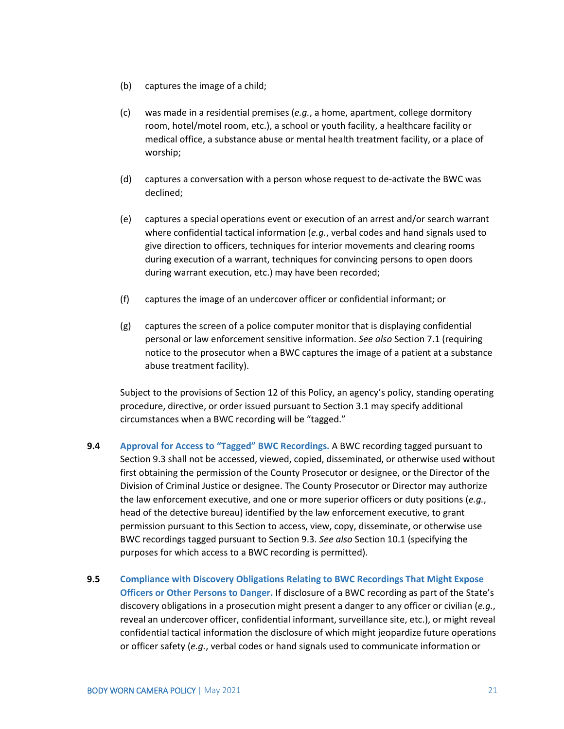- (b) captures the image of a child;
- (c) was made in a residential premises (*e.g.*, a home, apartment, college dormitory room, hotel/motel room, etc.), a school or youth facility, a healthcare facility or medical office, a substance abuse or mental health treatment facility, or a place of worship;
- (d) captures a conversation with a person whose request to de-activate the BWC was declined;
- (e) captures a special operations event or execution of an arrest and/or search warrant where confidential tactical information (*e.g.*, verbal codes and hand signals used to give direction to officers, techniques for interior movements and clearing rooms during execution of a warrant, techniques for convincing persons to open doors during warrant execution, etc.) may have been recorded;
- (f) captures the image of an undercover officer or confidential informant; or
- (g) captures the screen of a police computer monitor that is displaying confidential personal or law enforcement sensitive information. *See also* Section 7.1 (requiring notice to the prosecutor when a BWC captures the image of a patient at a substance abuse treatment facility).

Subject to the provisions of Section 12 of this Policy, an agency's policy, standing operating procedure, directive, or order issued pursuant to Section 3.1 may specify additional circumstances when a BWC recording will be "tagged."

- **9.4 Approval for Access to "Tagged" BWC Recordings.** A BWC recording tagged pursuant to Section 9.3 shall not be accessed, viewed, copied, disseminated, or otherwise used without first obtaining the permission of the County Prosecutor or designee, or the Director of the Division of Criminal Justice or designee. The County Prosecutor or Director may authorize the law enforcement executive, and one or more superior officers or duty positions (*e.g.*, head of the detective bureau) identified by the law enforcement executive, to grant permission pursuant to this Section to access, view, copy, disseminate, or otherwise use BWC recordings tagged pursuant to Section 9.3. *See also* Section 10.1 (specifying the purposes for which access to a BWC recording is permitted).
- **9.5 Compliance with Discovery Obligations Relating to BWC Recordings That Might Expose Officers or Other Persons to Danger.** If disclosure of a BWC recording as part of the State's discovery obligations in a prosecution might present a danger to any officer or civilian (*e.g.*, reveal an undercover officer, confidential informant, surveillance site, etc.), or might reveal confidential tactical information the disclosure of which might jeopardize future operations or officer safety (*e.g.*, verbal codes or hand signals used to communicate information or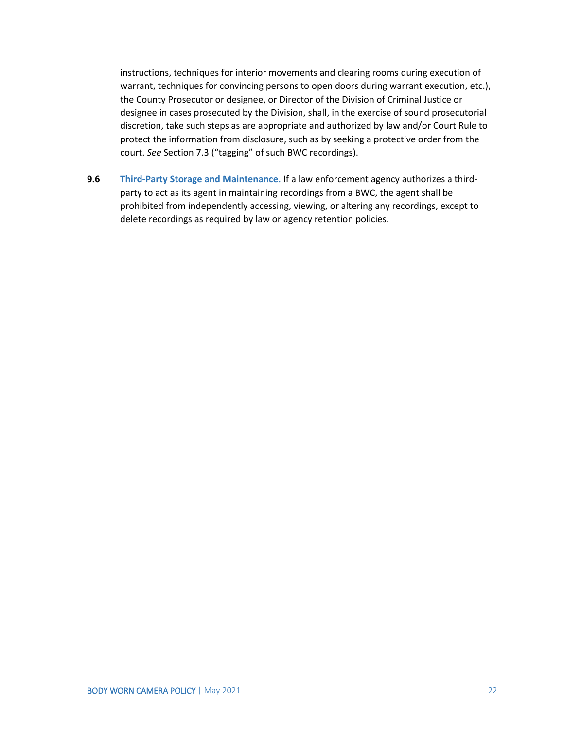instructions, techniques for interior movements and clearing rooms during execution of warrant, techniques for convincing persons to open doors during warrant execution, etc.), the County Prosecutor or designee, or Director of the Division of Criminal Justice or designee in cases prosecuted by the Division, shall, in the exercise of sound prosecutorial discretion, take such steps as are appropriate and authorized by law and/or Court Rule to protect the information from disclosure, such as by seeking a protective order from the court. *See* Section 7.3 ("tagging" of such BWC recordings).

**9.6 Third-Party Storage and Maintenance.** If a law enforcement agency authorizes a thirdparty to act as its agent in maintaining recordings from a BWC, the agent shall be prohibited from independently accessing, viewing, or altering any recordings, except to delete recordings as required by law or agency retention policies.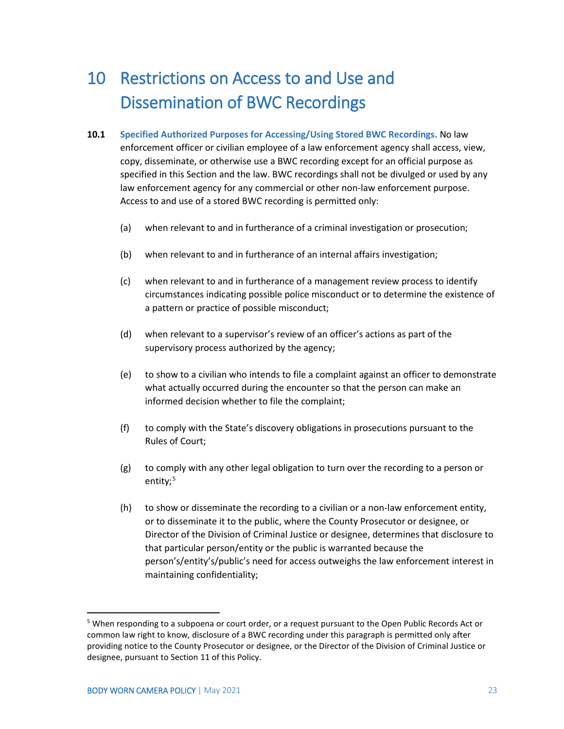### <span id="page-25-0"></span>10 Restrictions on Access to and Use and Dissemination of BWC Recordings

- **10.1 Specified Authorized Purposes for Accessing/Using Stored BWC Recordings.** No law enforcement officer or civilian employee of a law enforcement agency shall access, view, copy, disseminate, or otherwise use a BWC recording except for an official purpose as specified in this Section and the law. BWC recordings shall not be divulged or used by any law enforcement agency for any commercial or other non-law enforcement purpose. Access to and use of a stored BWC recording is permitted only:
	- (a) when relevant to and in furtherance of a criminal investigation or prosecution;
	- (b) when relevant to and in furtherance of an internal affairs investigation;
	- (c) when relevant to and in furtherance of a management review process to identify circumstances indicating possible police misconduct or to determine the existence of a pattern or practice of possible misconduct;
	- (d) when relevant to a supervisor's review of an officer's actions as part of the supervisory process authorized by the agency;
	- (e) to show to a civilian who intends to file a complaint against an officer to demonstrate what actually occurred during the encounter so that the person can make an informed decision whether to file the complaint;
	- (f) to comply with the State's discovery obligations in prosecutions pursuant to the Rules of Court;
	- (g) to comply with any other legal obligation to turn over the recording to a person or entity;<sup>[5](#page-25-1)</sup>
	- (h) to show or disseminate the recording to a civilian or a non-law enforcement entity, or to disseminate it to the public, where the County Prosecutor or designee, or Director of the Division of Criminal Justice or designee, determines that disclosure to that particular person/entity or the public is warranted because the person's/entity's/public's need for access outweighs the law enforcement interest in maintaining confidentiality;

<span id="page-25-1"></span> <sup>5</sup> When responding to a subpoena or court order, or a request pursuant to the Open Public Records Act or common law right to know, disclosure of a BWC recording under this paragraph is permitted only after providing notice to the County Prosecutor or designee, or the Director of the Division of Criminal Justice or designee, pursuant to Section 11 of this Policy.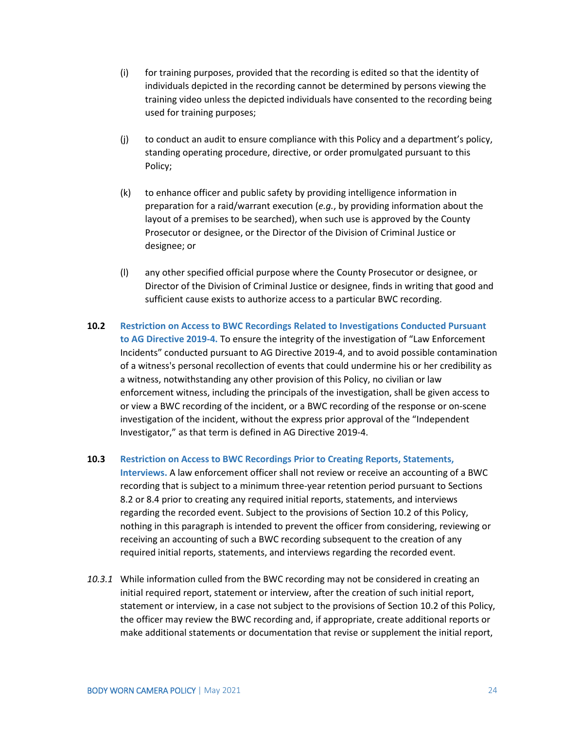- (i) for training purposes, provided that the recording is edited so that the identity of individuals depicted in the recording cannot be determined by persons viewing the training video unless the depicted individuals have consented to the recording being used for training purposes;
- (j) to conduct an audit to ensure compliance with this Policy and a department's policy, standing operating procedure, directive, or order promulgated pursuant to this Policy;
- (k) to enhance officer and public safety by providing intelligence information in preparation for a raid/warrant execution (*e.g.*, by providing information about the layout of a premises to be searched), when such use is approved by the County Prosecutor or designee, or the Director of the Division of Criminal Justice or designee; or
- (l) any other specified official purpose where the County Prosecutor or designee, or Director of the Division of Criminal Justice or designee, finds in writing that good and sufficient cause exists to authorize access to a particular BWC recording.
- **10.2 Restriction on Access to BWC Recordings Related to Investigations Conducted Pursuant to AG Directive 2019-4.** To ensure the integrity of the investigation of "Law Enforcement Incidents" conducted pursuant to AG Directive 2019-4, and to avoid possible contamination of a witness's personal recollection of events that could undermine his or her credibility as a witness, notwithstanding any other provision of this Policy, no civilian or law enforcement witness, including the principals of the investigation, shall be given access to or view a BWC recording of the incident, or a BWC recording of the response or on-scene investigation of the incident, without the express prior approval of the "Independent Investigator," as that term is defined in AG Directive 2019-4.

#### **10.3 Restriction on Access to BWC Recordings Prior to Creating Reports, Statements,**

**Interviews.** A law enforcement officer shall not review or receive an accounting of a BWC recording that is subject to a minimum three-year retention period pursuant to Sections 8.2 or 8.4 prior to creating any required initial reports, statements, and interviews regarding the recorded event. Subject to the provisions of Section 10.2 of this Policy, nothing in this paragraph is intended to prevent the officer from considering, reviewing or receiving an accounting of such a BWC recording subsequent to the creation of any required initial reports, statements, and interviews regarding the recorded event.

*10.3.1* While information culled from the BWC recording may not be considered in creating an initial required report, statement or interview, after the creation of such initial report, statement or interview, in a case not subject to the provisions of Section 10.2 of this Policy, the officer may review the BWC recording and, if appropriate, create additional reports or make additional statements or documentation that revise or supplement the initial report,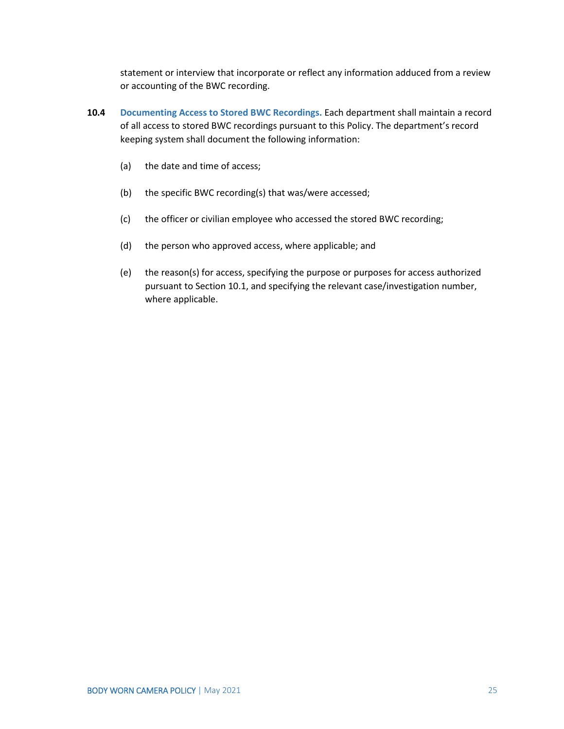statement or interview that incorporate or reflect any information adduced from a review or accounting of the BWC recording.

- **10.4 Documenting Access to Stored BWC Recordings.** Each department shall maintain a record of all access to stored BWC recordings pursuant to this Policy. The department's record keeping system shall document the following information:
	- (a) the date and time of access;
	- (b) the specific BWC recording(s) that was/were accessed;
	- (c) the officer or civilian employee who accessed the stored BWC recording;
	- (d) the person who approved access, where applicable; and
	- (e) the reason(s) for access, specifying the purpose or purposes for access authorized pursuant to Section 10.1, and specifying the relevant case/investigation number, where applicable.